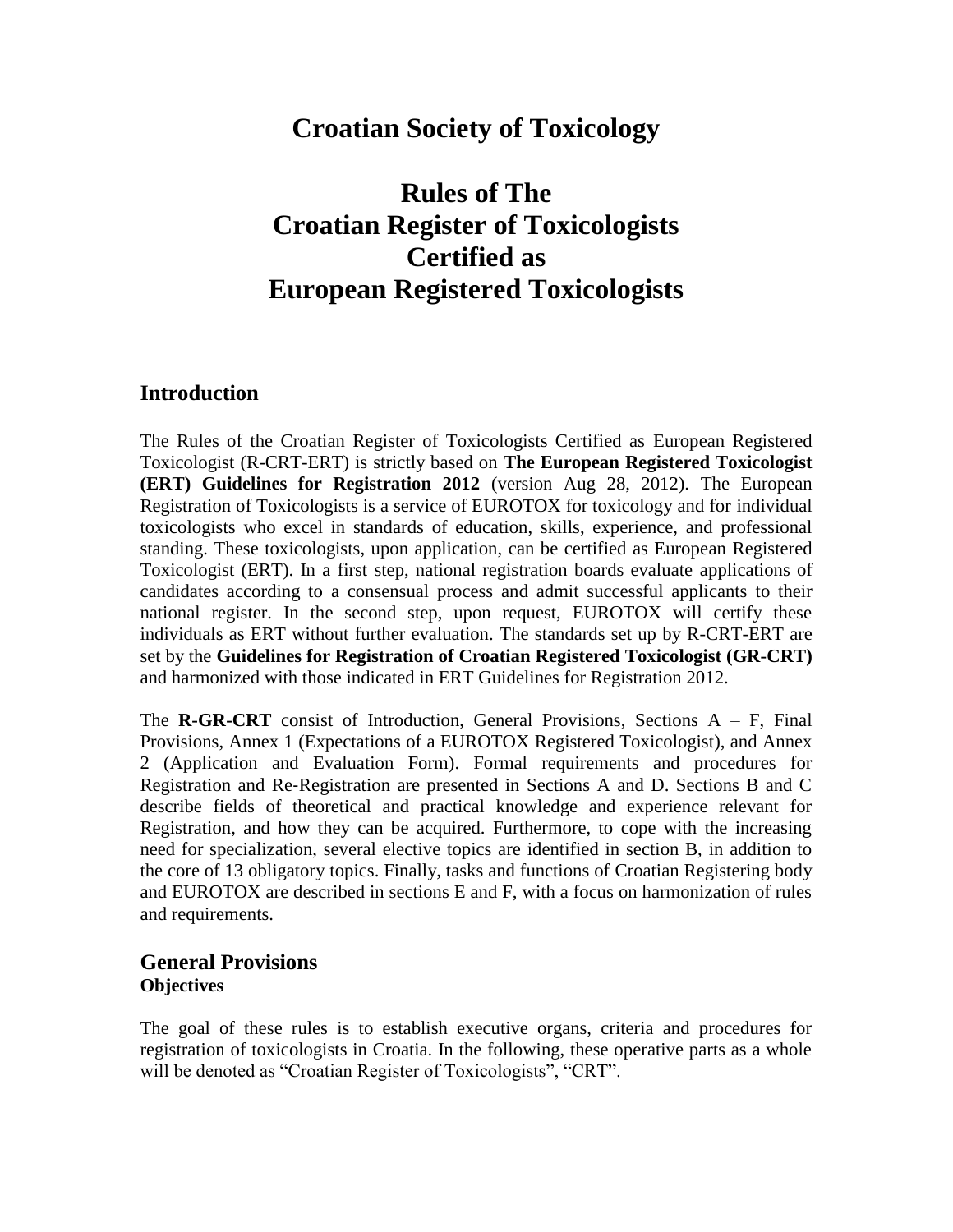# **Croatian Society of Toxicology**

# **Rules of The Croatian Register of Toxicologists Certified as European Registered Toxicologists**

### **Introduction**

The Rules of the Croatian Register of Toxicologists Certified as European Registered Toxicologist (R-CRT-ERT) is strictly based on **The European Registered Toxicologist (ERT) Guidelines for Registration 2012** (version Aug 28, 2012). The European Registration of Toxicologists is a service of EUROTOX for toxicology and for individual toxicologists who excel in standards of education, skills, experience, and professional standing. These toxicologists, upon application, can be certified as European Registered Toxicologist (ERT). In a first step, national registration boards evaluate applications of candidates according to a consensual process and admit successful applicants to their national register. In the second step, upon request, EUROTOX will certify these individuals as ERT without further evaluation. The standards set up by R-CRT-ERT are set by the **Guidelines for Registration of Croatian Registered Toxicologist (GR-CRT)** and harmonized with those indicated in ERT Guidelines for Registration 2012.

The **R-GR-CRT** consist of Introduction, General Provisions, Sections  $A - F$ , Final Provisions, Annex 1 (Expectations of a EUROTOX Registered Toxicologist), and Annex 2 (Application and Evaluation Form). Formal requirements and procedures for Registration and Re‐Registration are presented in Sections A and D. Sections B and C describe fields of theoretical and practical knowledge and experience relevant for Registration, and how they can be acquired. Furthermore, to cope with the increasing need for specialization, several elective topics are identified in section B, in addition to the core of 13 obligatory topics. Finally, tasks and functions of Croatian Registering body and EUROTOX are described in sections E and F, with a focus on harmonization of rules and requirements.

### **General Provisions Objectives**

The goal of these rules is to establish executive organs, criteria and procedures for registration of toxicologists in Croatia. In the following, these operative parts as a whole will be denoted as "Croatian Register of Toxicologists", "CRT".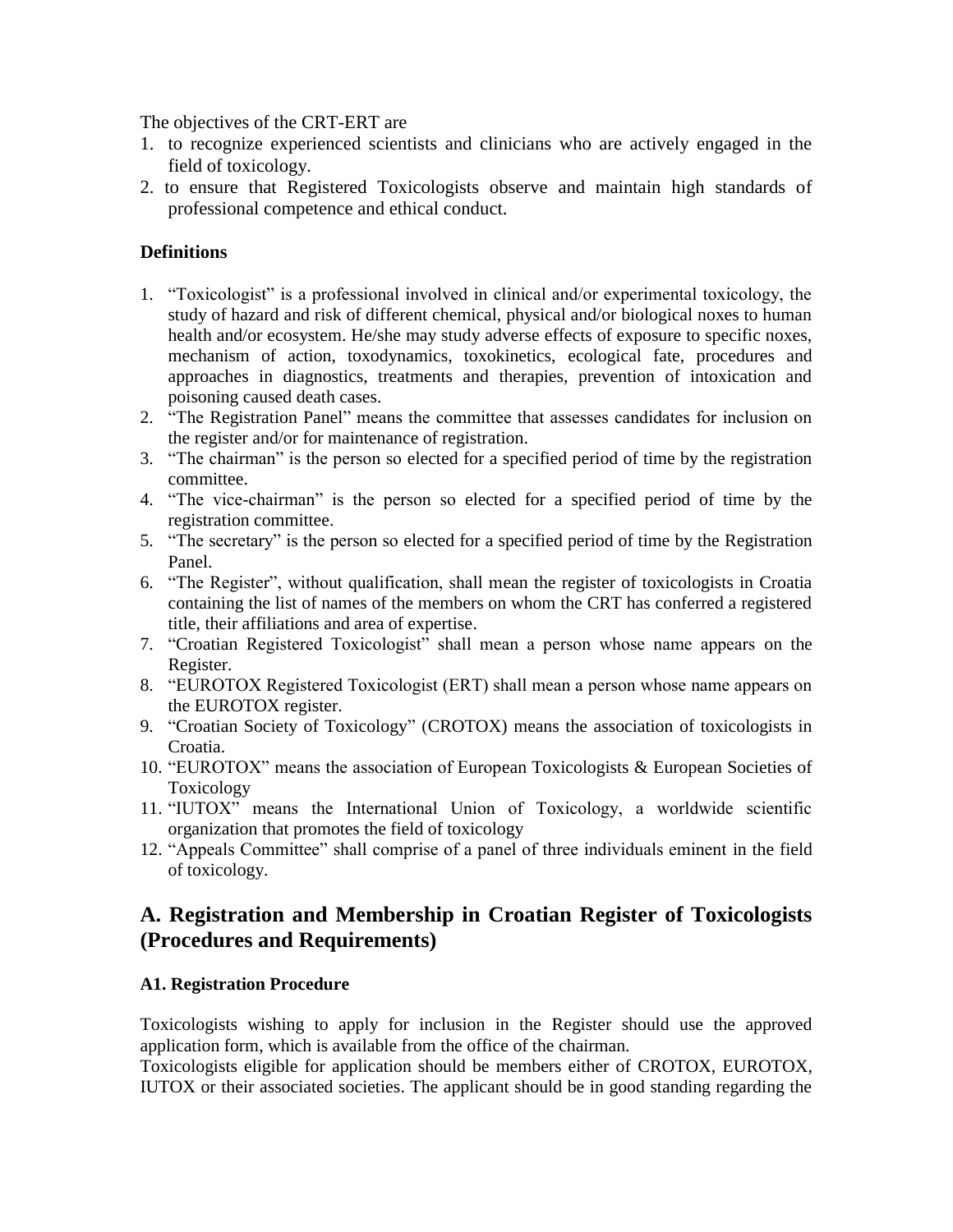The objectives of the CRT-ERT are

- 1. to recognize experienced scientists and clinicians who are actively engaged in the field of toxicology.
- 2. to ensure that Registered Toxicologists observe and maintain high standards of professional competence and ethical conduct.

### **Definitions**

- 1. "Toxicologist" is a professional involved in clinical and/or experimental toxicology, the study of hazard and risk of different chemical, physical and/or biological noxes to human health and/or ecosystem. He/she may study adverse effects of exposure to specific noxes, mechanism of action, toxodynamics, toxokinetics, ecological fate, procedures and approaches in diagnostics, treatments and therapies, prevention of intoxication and poisoning caused death cases.
- 2. "The Registration Panel" means the committee that assesses candidates for inclusion on the register and/or for maintenance of registration.
- 3. "The chairman" is the person so elected for a specified period of time by the registration committee.
- 4. "The vice-chairman" is the person so elected for a specified period of time by the registration committee.
- 5. "The secretary" is the person so elected for a specified period of time by the Registration Panel.
- 6. "The Register", without qualification, shall mean the register of toxicologists in Croatia containing the list of names of the members on whom the CRT has conferred a registered title, their affiliations and area of expertise.
- 7. "Croatian Registered Toxicologist" shall mean a person whose name appears on the Register.
- 8. "EUROTOX Registered Toxicologist (ERT) shall mean a person whose name appears on the EUROTOX register.
- 9. "Croatian Society of Toxicology" (CROTOX) means the association of toxicologists in Croatia.
- 10. "EUROTOX" means the association of European Toxicologists & European Societies of Toxicology
- 11. "IUTOX" means the International Union of Toxicology, a worldwide scientific organization that promotes the field of toxicology
- 12. "Appeals Committee" shall comprise of a panel of three individuals eminent in the field of toxicology.

### **A. Registration and Membership in Croatian Register of Toxicologists (Procedures and Requirements)**

### **A1. Registration Procedure**

Toxicologists wishing to apply for inclusion in the Register should use the approved application form, which is available from the office of the chairman.

Toxicologists eligible for application should be members either of CROTOX, EUROTOX, IUTOX or their associated societies. The applicant should be in good standing regarding the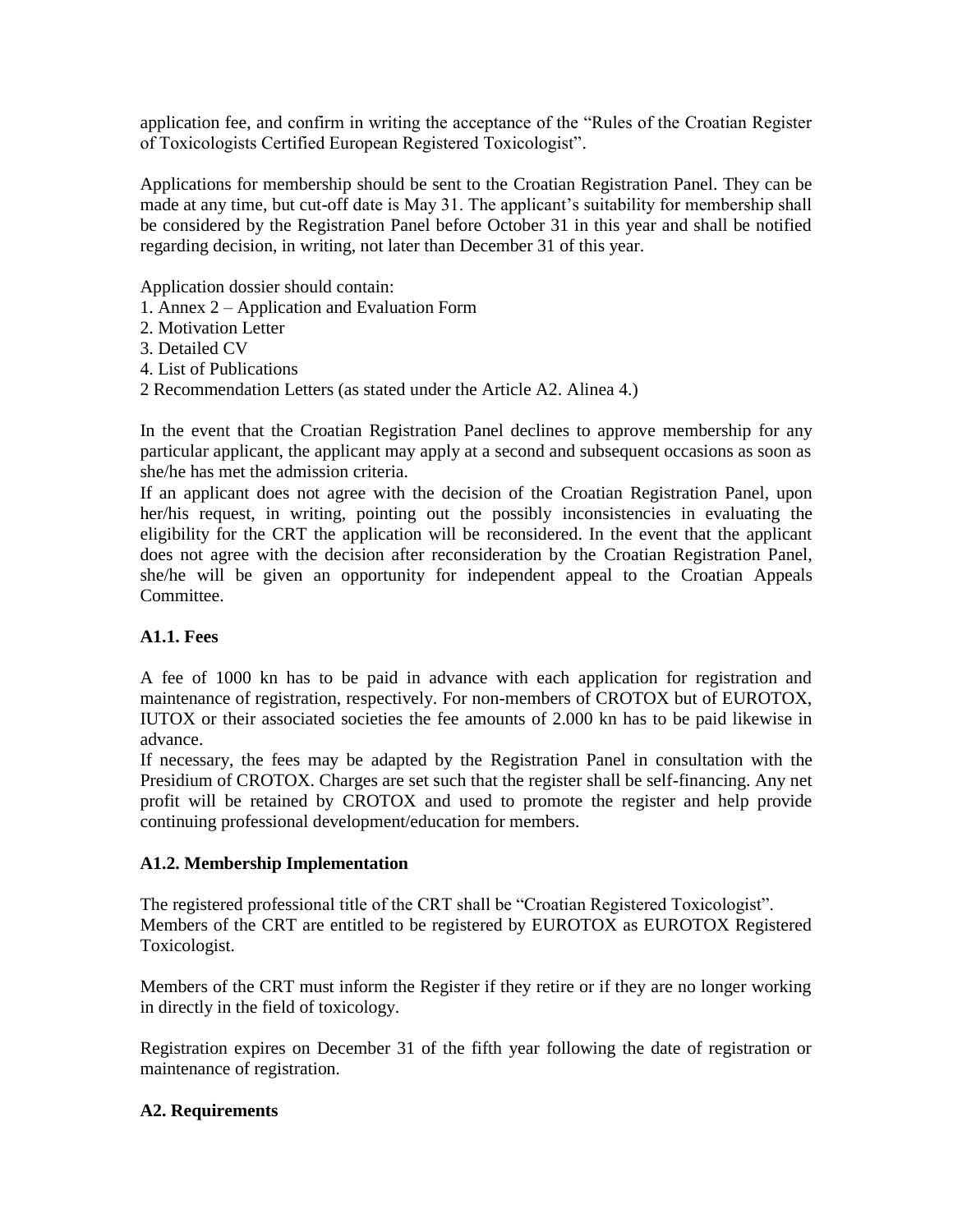application fee, and confirm in writing the acceptance of the "Rules of the Croatian Register of Toxicologists Certified European Registered Toxicologist".

Applications for membership should be sent to the Croatian Registration Panel. They can be made at any time, but cut-off date is May 31. The applicant's suitability for membership shall be considered by the Registration Panel before October 31 in this year and shall be notified regarding decision, in writing, not later than December 31 of this year.

Application dossier should contain:

- 1. Annex 2 Application and Evaluation Form
- 2. Motivation Letter
- 3. Detailed CV
- 4. List of Publications
- 2 Recommendation Letters (as stated under the Article A2. Alinea 4.)

In the event that the Croatian Registration Panel declines to approve membership for any particular applicant, the applicant may apply at a second and subsequent occasions as soon as she/he has met the admission criteria.

If an applicant does not agree with the decision of the Croatian Registration Panel, upon her/his request, in writing, pointing out the possibly inconsistencies in evaluating the eligibility for the CRT the application will be reconsidered. In the event that the applicant does not agree with the decision after reconsideration by the Croatian Registration Panel, she/he will be given an opportunity for independent appeal to the Croatian Appeals Committee.

### **A1.1. Fees**

A fee of 1000 kn has to be paid in advance with each application for registration and maintenance of registration, respectively. For non-members of CROTOX but of EUROTOX, IUTOX or their associated societies the fee amounts of 2.000 kn has to be paid likewise in advance.

If necessary, the fees may be adapted by the Registration Panel in consultation with the Presidium of CROTOX. Charges are set such that the register shall be self-financing. Any net profit will be retained by CROTOX and used to promote the register and help provide continuing professional development/education for members.

### **A1.2. Membership Implementation**

The registered professional title of the CRT shall be "Croatian Registered Toxicologist". Members of the CRT are entitled to be registered by EUROTOX as EUROTOX Registered Toxicologist.

Members of the CRT must inform the Register if they retire or if they are no longer working in directly in the field of toxicology.

Registration expires on December 31 of the fifth year following the date of registration or maintenance of registration.

### **A2. Requirements**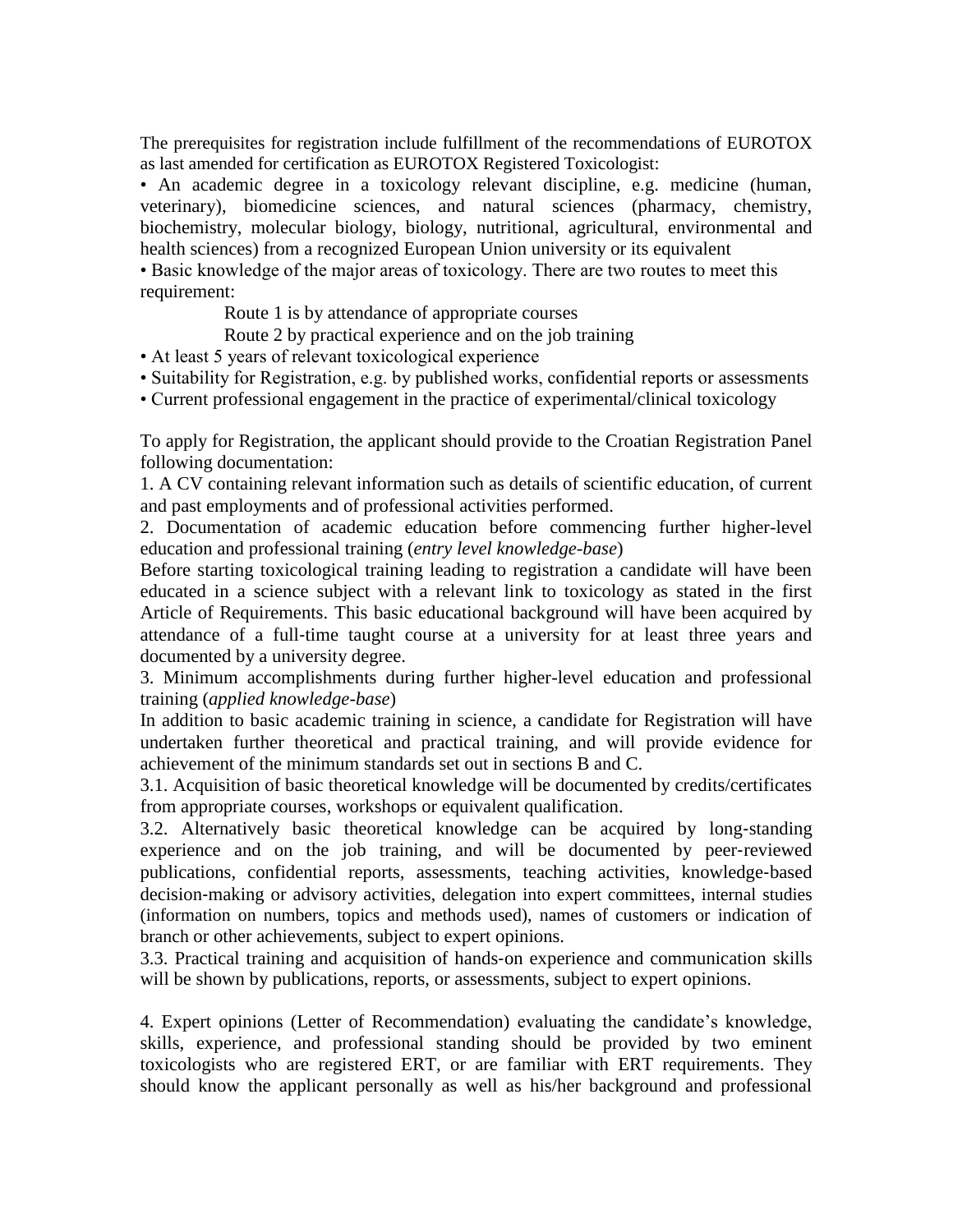The prerequisites for registration include fulfillment of the recommendations of EUROTOX as last amended for certification as EUROTOX Registered Toxicologist:

• An academic degree in a toxicology relevant discipline, e.g. medicine (human, veterinary), biomedicine sciences, and natural sciences (pharmacy, chemistry, biochemistry, molecular biology, biology, nutritional, agricultural, environmental and health sciences) from a recognized European Union university or its equivalent

• Basic knowledge of the major areas of toxicology. There are two routes to meet this requirement:

Route 1 is by attendance of appropriate courses

Route 2 by practical experience and on the job training

• At least 5 years of relevant toxicological experience

• Suitability for Registration, e.g. by published works, confidential reports or assessments

• Current professional engagement in the practice of experimental/clinical toxicology

To apply for Registration, the applicant should provide to the Croatian Registration Panel following documentation:

1. A CV containing relevant information such as details of scientific education, of current and past employments and of professional activities performed.

2. Documentation of academic education before commencing further higher-level education and professional training (*entry level knowledge-base*)

Before starting toxicological training leading to registration a candidate will have been educated in a science subject with a relevant link to toxicology as stated in the first Article of Requirements. This basic educational background will have been acquired by attendance of a full‐time taught course at a university for at least three years and documented by a university degree.

3. Minimum accomplishments during further higher-level education and professional training (*applied knowledge-base*)

In addition to basic academic training in science, a candidate for Registration will have undertaken further theoretical and practical training, and will provide evidence for achievement of the minimum standards set out in sections B and C.

3.1. Acquisition of basic theoretical knowledge will be documented by credits/certificates from appropriate courses, workshops or equivalent qualification.

3.2. Alternatively basic theoretical knowledge can be acquired by long‐standing experience and on the job training, and will be documented by peer‐reviewed publications, confidential reports, assessments, teaching activities, knowledge‐based decision‐making or advisory activities, delegation into expert committees, internal studies (information on numbers, topics and methods used), names of customers or indication of branch or other achievements, subject to expert opinions.

3.3. Practical training and acquisition of hands‐on experience and communication skills will be shown by publications, reports, or assessments, subject to expert opinions.

4. Expert opinions (Letter of Recommendation) evaluating the candidate's knowledge, skills, experience, and professional standing should be provided by two eminent toxicologists who are registered ERT, or are familiar with ERT requirements. They should know the applicant personally as well as his/her background and professional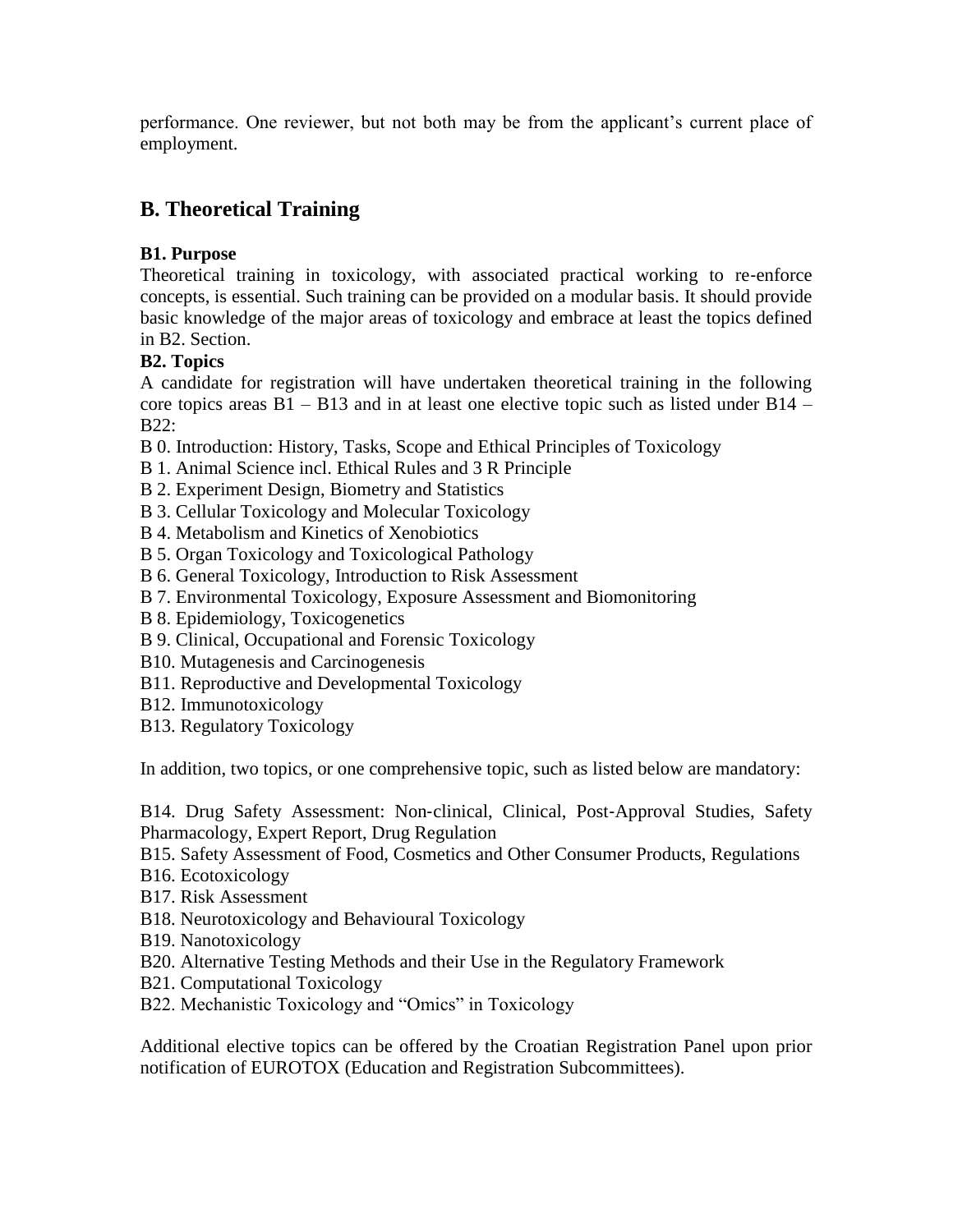performance. One reviewer, but not both may be from the applicant's current place of employment.

## **B. Theoretical Training**

### **B1. Purpose**

Theoretical training in toxicology, with associated practical working to re-enforce concepts, is essential. Such training can be provided on a modular basis. It should provide basic knowledge of the major areas of toxicology and embrace at least the topics defined in B2. Section.

### **B2. Topics**

A candidate for registration will have undertaken theoretical training in the following core topics areas  $B1 - B13$  and in at least one elective topic such as listed under  $B14 -$ B22:

- B 0. Introduction: History, Tasks, Scope and Ethical Principles of Toxicology
- B 1. Animal Science incl. Ethical Rules and 3 R Principle
- B 2. Experiment Design, Biometry and Statistics
- B 3. Cellular Toxicology and Molecular Toxicology
- B 4. Metabolism and Kinetics of Xenobiotics
- B 5. Organ Toxicology and Toxicological Pathology
- B 6. General Toxicology, Introduction to Risk Assessment
- B 7. Environmental Toxicology, Exposure Assessment and Biomonitoring
- B 8. Epidemiology, Toxicogenetics
- B 9. Clinical, Occupational and Forensic Toxicology
- B10. Mutagenesis and Carcinogenesis
- B11. Reproductive and Developmental Toxicology
- B12. Immunotoxicology
- B13. Regulatory Toxicology

In addition, two topics, or one comprehensive topic, such as listed below are mandatory:

B14. Drug Safety Assessment: Non‐clinical, Clinical, Post‐Approval Studies, Safety Pharmacology, Expert Report, Drug Regulation

B15. Safety Assessment of Food, Cosmetics and Other Consumer Products, Regulations

- B16. Ecotoxicology
- B17. Risk Assessment
- B18. Neurotoxicology and Behavioural Toxicology
- B19. Nanotoxicology
- B20. Alternative Testing Methods and their Use in the Regulatory Framework
- B21. Computational Toxicology
- B22. Mechanistic Toxicology and "Omics" in Toxicology

Additional elective topics can be offered by the Croatian Registration Panel upon prior notification of EUROTOX (Education and Registration Subcommittees).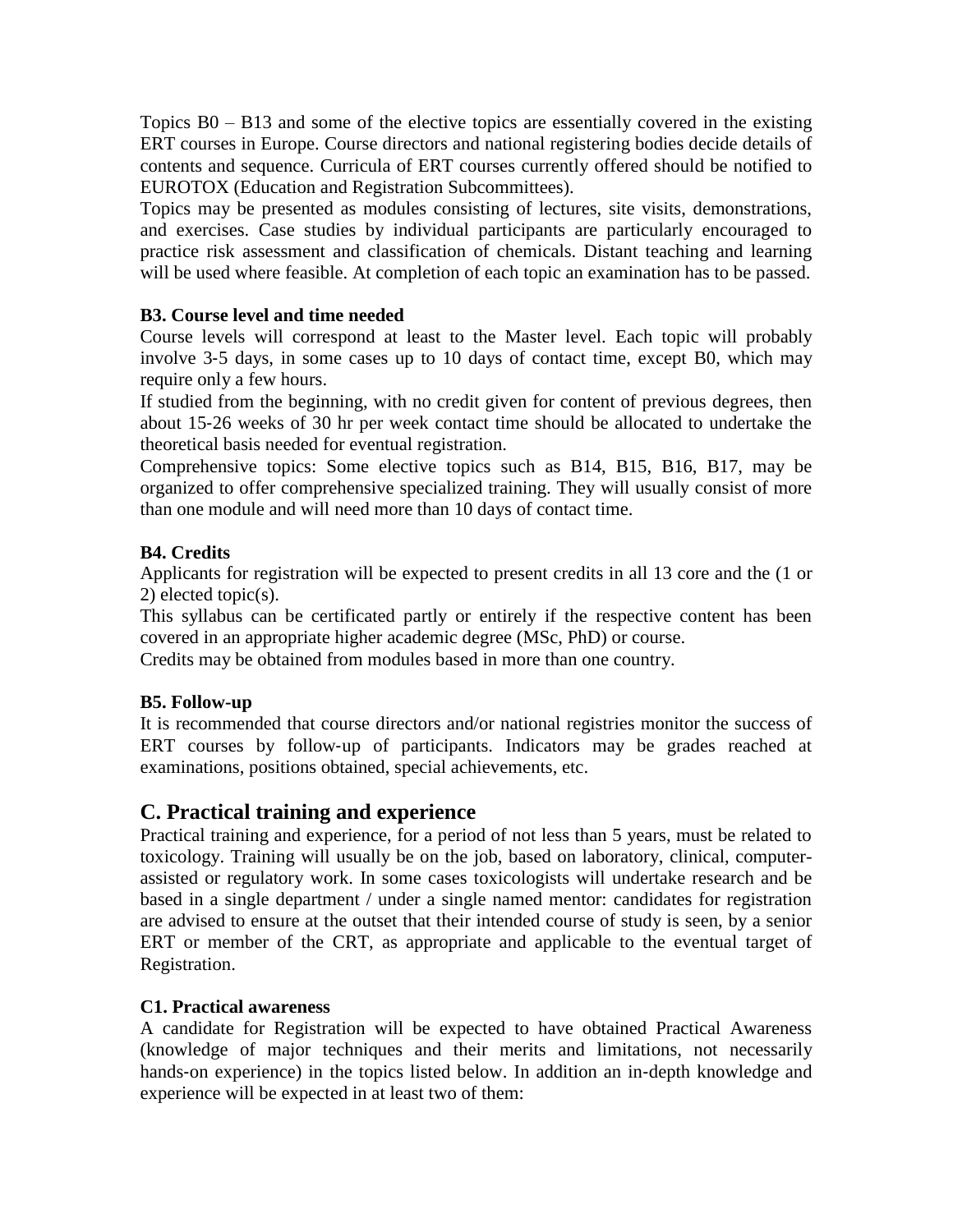Topics B0 – B13 and some of the elective topics are essentially covered in the existing ERT courses in Europe. Course directors and national registering bodies decide details of contents and sequence. Curricula of ERT courses currently offered should be notified to EUROTOX (Education and Registration Subcommittees).

Topics may be presented as modules consisting of lectures, site visits, demonstrations, and exercises. Case studies by individual participants are particularly encouraged to practice risk assessment and classification of chemicals. Distant teaching and learning will be used where feasible. At completion of each topic an examination has to be passed.

### **B3. Course level and time needed**

Course levels will correspond at least to the Master level. Each topic will probably involve 3‐5 days, in some cases up to 10 days of contact time, except B0, which may require only a few hours.

If studied from the beginning, with no credit given for content of previous degrees, then about 15‐26 weeks of 30 hr per week contact time should be allocated to undertake the theoretical basis needed for eventual registration.

Comprehensive topics: Some elective topics such as B14, B15, B16, B17, may be organized to offer comprehensive specialized training. They will usually consist of more than one module and will need more than 10 days of contact time.

### **B4. Credits**

Applicants for registration will be expected to present credits in all 13 core and the (1 or 2) elected topic(s).

This syllabus can be certificated partly or entirely if the respective content has been covered in an appropriate higher academic degree (MSc, PhD) or course.

Credits may be obtained from modules based in more than one country.

### **B5. Follow-up**

It is recommended that course directors and/or national registries monitor the success of ERT courses by follow-up of participants. Indicators may be grades reached at examinations, positions obtained, special achievements, etc.

### **C. Practical training and experience**

Practical training and experience, for a period of not less than 5 years, must be related to toxicology. Training will usually be on the job, based on laboratory, clinical, computerassisted or regulatory work. In some cases toxicologists will undertake research and be based in a single department / under a single named mentor: candidates for registration are advised to ensure at the outset that their intended course of study is seen, by a senior ERT or member of the CRT, as appropriate and applicable to the eventual target of Registration.

### **C1. Practical awareness**

A candidate for Registration will be expected to have obtained Practical Awareness (knowledge of major techniques and their merits and limitations, not necessarily hands-on experience) in the topics listed below. In addition an in-depth knowledge and experience will be expected in at least two of them: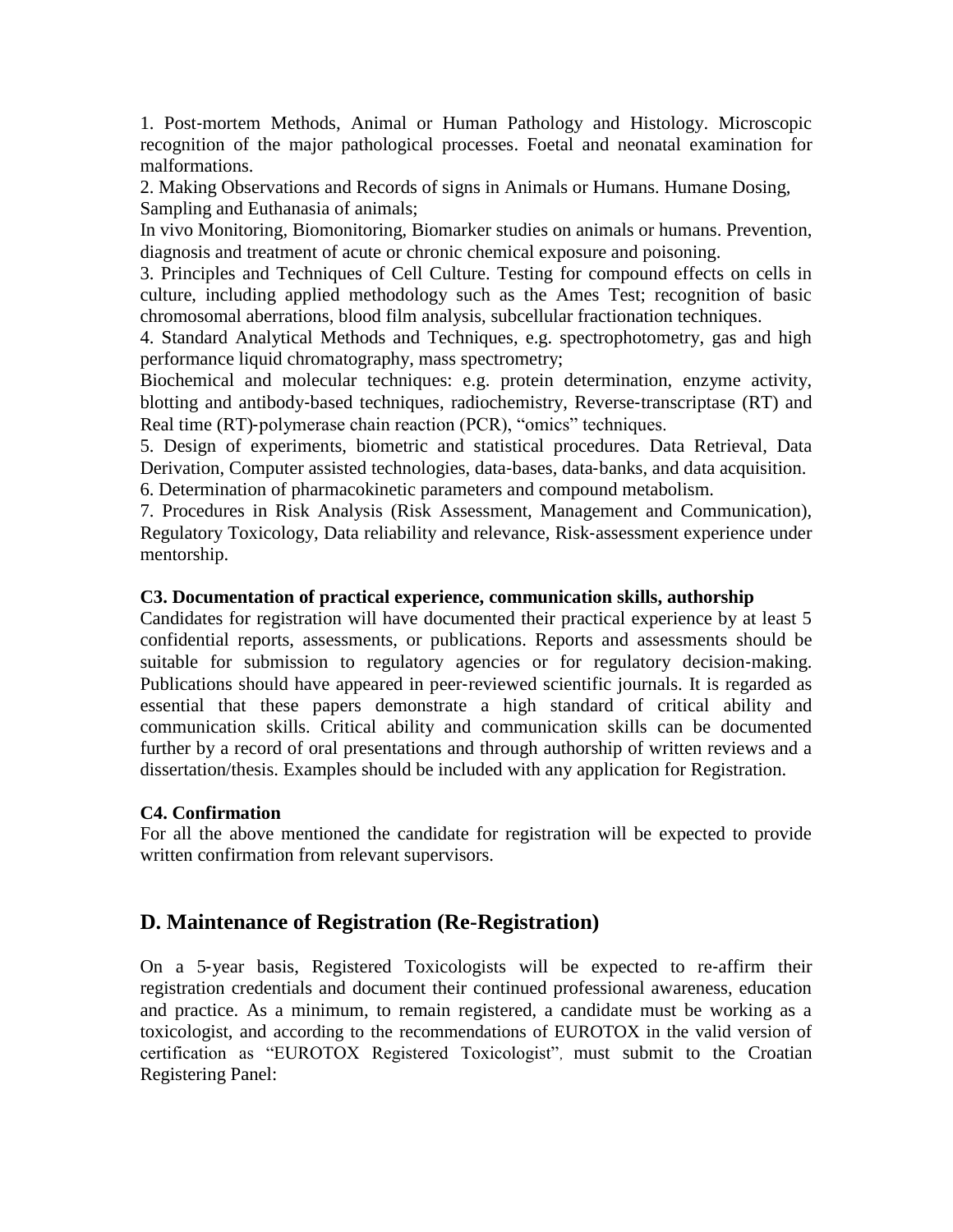1. Post‐mortem Methods, Animal or Human Pathology and Histology. Microscopic recognition of the major pathological processes. Foetal and neonatal examination for malformations.

2. Making Observations and Records of signs in Animals or Humans. Humane Dosing, Sampling and Euthanasia of animals;

In vivo Monitoring, Biomonitoring, Biomarker studies on animals or humans. Prevention, diagnosis and treatment of acute or chronic chemical exposure and poisoning.

3. Principles and Techniques of Cell Culture. Testing for compound effects on cells in culture, including applied methodology such as the Ames Test; recognition of basic chromosomal aberrations, blood film analysis, subcellular fractionation techniques.

4. Standard Analytical Methods and Techniques, e.g. spectrophotometry, gas and high performance liquid chromatography, mass spectrometry;

Biochemical and molecular techniques: e.g. protein determination, enzyme activity, blotting and antibody‐based techniques, radiochemistry, Reverse‐transcriptase (RT) and Real time (RT)-polymerase chain reaction (PCR), "omics" techniques.

5. Design of experiments, biometric and statistical procedures. Data Retrieval, Data Derivation, Computer assisted technologies, data‐bases, data‐banks, and data acquisition. 6. Determination of pharmacokinetic parameters and compound metabolism.

7. Procedures in Risk Analysis (Risk Assessment, Management and Communication), Regulatory Toxicology, Data reliability and relevance, Risk‐assessment experience under mentorship.

### **C3. Documentation of practical experience, communication skills, authorship**

Candidates for registration will have documented their practical experience by at least 5 confidential reports, assessments, or publications. Reports and assessments should be suitable for submission to regulatory agencies or for regulatory decision-making. Publications should have appeared in peer‐reviewed scientific journals. It is regarded as essential that these papers demonstrate a high standard of critical ability and communication skills. Critical ability and communication skills can be documented further by a record of oral presentations and through authorship of written reviews and a dissertation/thesis. Examples should be included with any application for Registration.

### **C4. Confirmation**

For all the above mentioned the candidate for registration will be expected to provide written confirmation from relevant supervisors.

### **D. Maintenance of Registration (Re-Registration)**

On a 5‐year basis, Registered Toxicologists will be expected to re‐affirm their registration credentials and document their continued professional awareness, education and practice. As a minimum, to remain registered, a candidate must be working as a toxicologist, and according to the recommendations of EUROTOX in the valid version of certification as "EUROTOX Registered Toxicologist", must submit to the Croatian Registering Panel: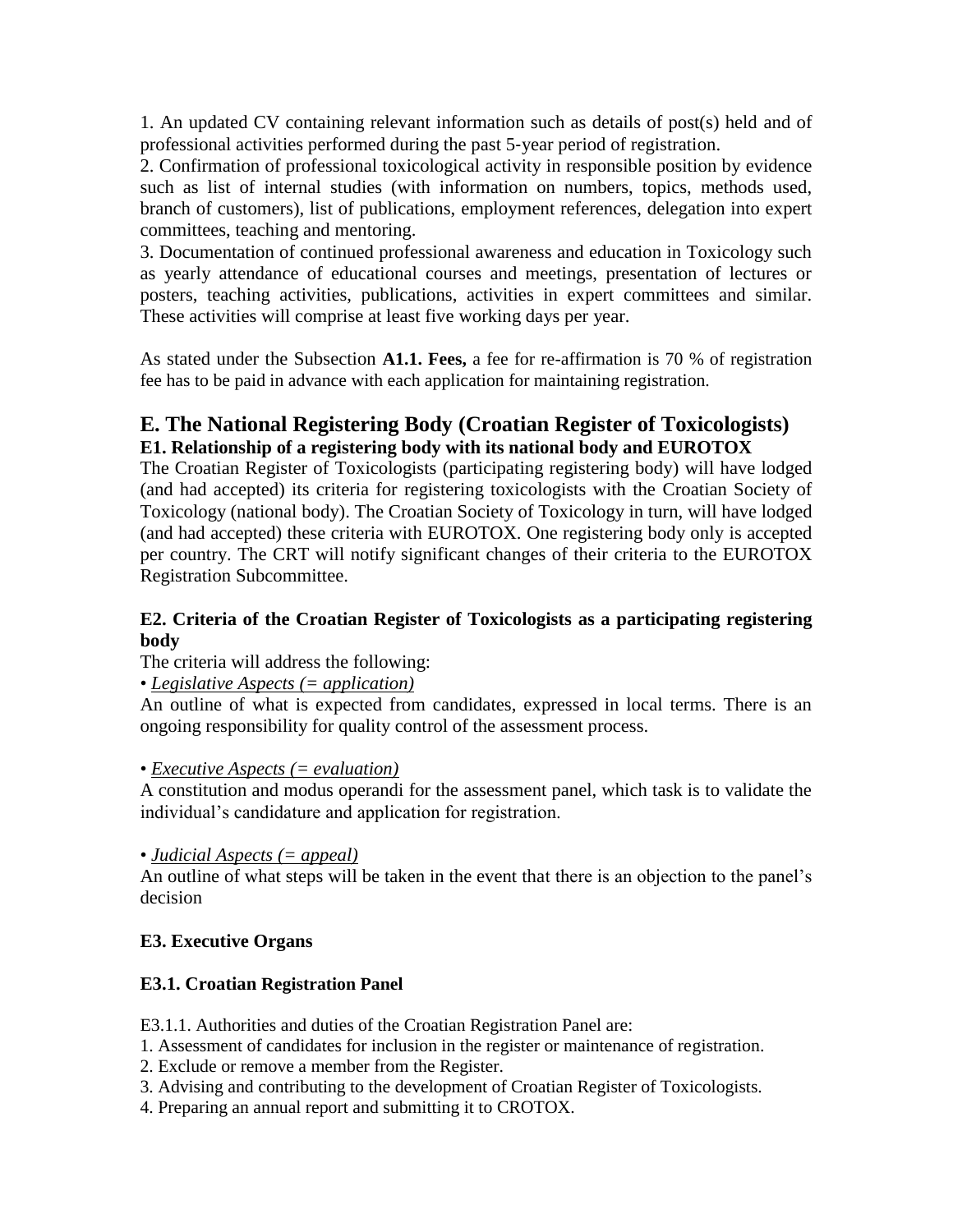1. An updated CV containing relevant information such as details of post(s) held and of professional activities performed during the past 5‐year period of registration.

2. Confirmation of professional toxicological activity in responsible position by evidence such as list of internal studies (with information on numbers, topics, methods used, branch of customers), list of publications, employment references, delegation into expert committees, teaching and mentoring.

3. Documentation of continued professional awareness and education in Toxicology such as yearly attendance of educational courses and meetings, presentation of lectures or posters, teaching activities, publications, activities in expert committees and similar. These activities will comprise at least five working days per year.

As stated under the Subsection **A1.1. Fees,** a fee for re-affirmation is 70 % of registration fee has to be paid in advance with each application for maintaining registration.

### **E. The National Registering Body (Croatian Register of Toxicologists) E1. Relationship of a registering body with its national body and EUROTOX**

The Croatian Register of Toxicologists (participating registering body) will have lodged (and had accepted) its criteria for registering toxicologists with the Croatian Society of Toxicology (national body). The Croatian Society of Toxicology in turn, will have lodged (and had accepted) these criteria with EUROTOX. One registering body only is accepted per country. The CRT will notify significant changes of their criteria to the EUROTOX Registration Subcommittee.

### **E2. Criteria of the Croatian Register of Toxicologists as a participating registering body**

The criteria will address the following:

### • *Legislative Aspects (= application)*

An outline of what is expected from candidates, expressed in local terms. There is an ongoing responsibility for quality control of the assessment process.

### • *Executive Aspects (= evaluation)*

A constitution and modus operandi for the assessment panel, which task is to validate the individual's candidature and application for registration.

### • *Judicial Aspects (= appeal)*

An outline of what steps will be taken in the event that there is an objection to the panel's decision

### **E3. Executive Organs**

### **E3.1. Croatian Registration Panel**

E3.1.1. Authorities and duties of the Croatian Registration Panel are:

- 1. Assessment of candidates for inclusion in the register or maintenance of registration.
- 2. Exclude or remove a member from the Register.
- 3. Advising and contributing to the development of Croatian Register of Toxicologists.

4. Preparing an annual report and submitting it to CROTOX.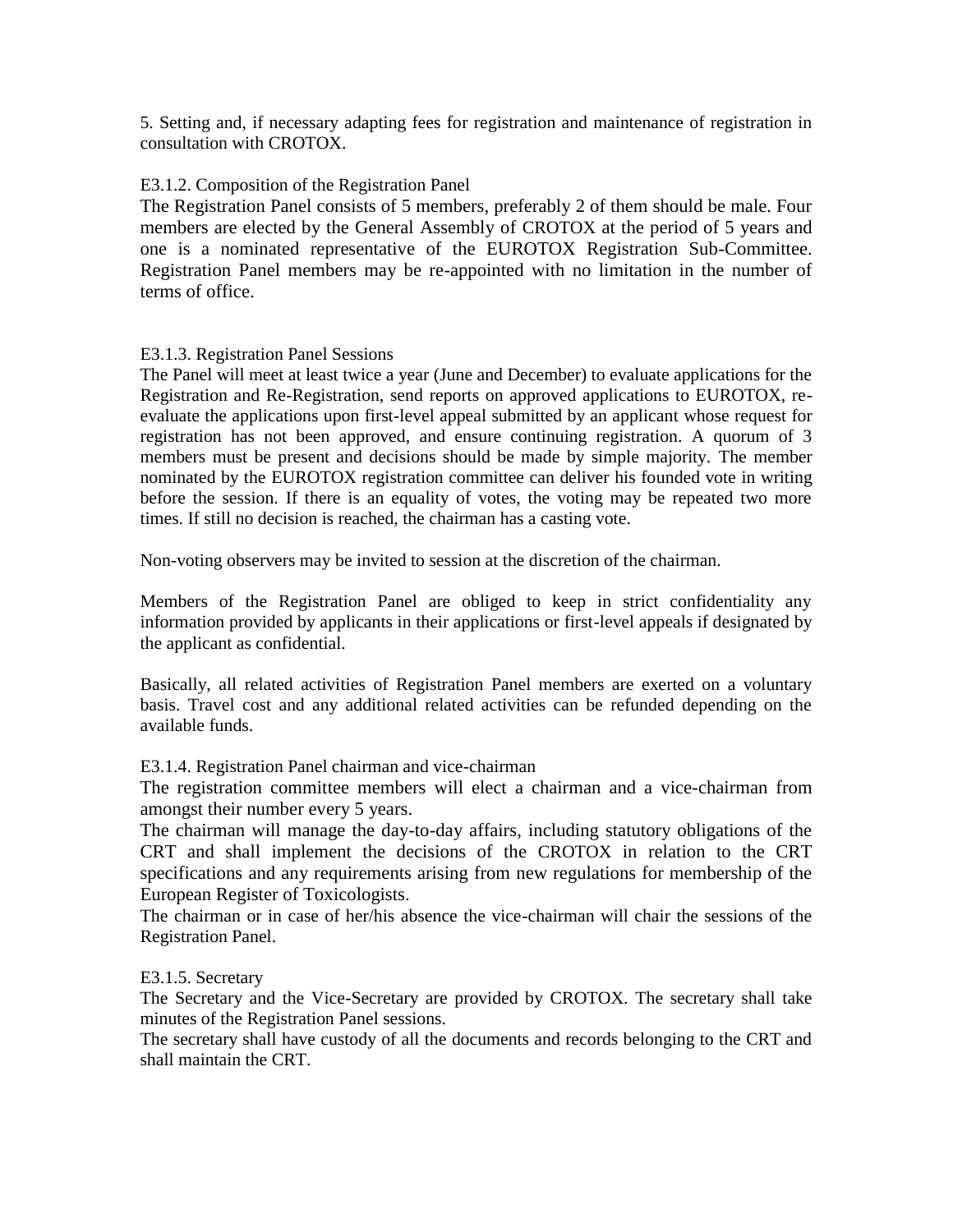5. Setting and, if necessary adapting fees for registration and maintenance of registration in consultation with CROTOX.

#### E3.1.2. Composition of the Registration Panel

The Registration Panel consists of 5 members, preferably 2 of them should be male. Four members are elected by the General Assembly of CROTOX at the period of 5 years and one is a nominated representative of the EUROTOX Registration Sub-Committee. Registration Panel members may be re-appointed with no limitation in the number of terms of office.

#### E3.1.3. Registration Panel Sessions

The Panel will meet at least twice a year (June and December) to evaluate applications for the Registration and Re-Registration, send reports on approved applications to EUROTOX, reevaluate the applications upon first-level appeal submitted by an applicant whose request for registration has not been approved, and ensure continuing registration. A quorum of 3 members must be present and decisions should be made by simple majority. The member nominated by the EUROTOX registration committee can deliver his founded vote in writing before the session. If there is an equality of votes, the voting may be repeated two more times. If still no decision is reached, the chairman has a casting vote.

Non-voting observers may be invited to session at the discretion of the chairman.

Members of the Registration Panel are obliged to keep in strict confidentiality any information provided by applicants in their applications or first-level appeals if designated by the applicant as confidential.

Basically, all related activities of Registration Panel members are exerted on a voluntary basis. Travel cost and any additional related activities can be refunded depending on the available funds.

E3.1.4. Registration Panel chairman and vice-chairman

The registration committee members will elect a chairman and a vice-chairman from amongst their number every 5 years.

The chairman will manage the day-to-day affairs, including statutory obligations of the CRT and shall implement the decisions of the CROTOX in relation to the CRT specifications and any requirements arising from new regulations for membership of the European Register of Toxicologists.

The chairman or in case of her/his absence the vice-chairman will chair the sessions of the Registration Panel.

#### E3.1.5. Secretary

The Secretary and the Vice-Secretary are provided by CROTOX. The secretary shall take minutes of the Registration Panel sessions.

The secretary shall have custody of all the documents and records belonging to the CRT and shall maintain the CRT.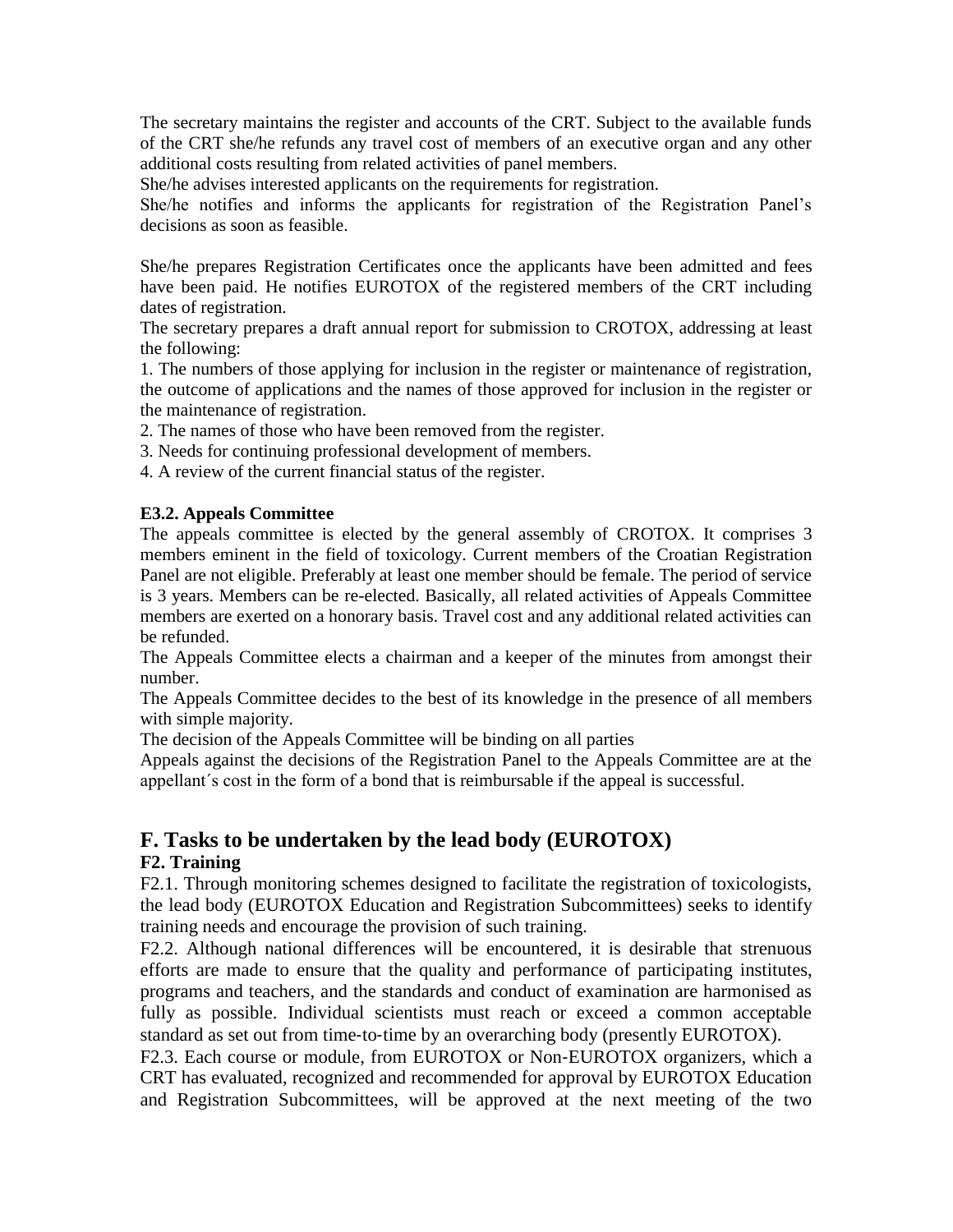The secretary maintains the register and accounts of the CRT. Subject to the available funds of the CRT she/he refunds any travel cost of members of an executive organ and any other additional costs resulting from related activities of panel members.

She/he advises interested applicants on the requirements for registration.

She/he notifies and informs the applicants for registration of the Registration Panel's decisions as soon as feasible.

She/he prepares Registration Certificates once the applicants have been admitted and fees have been paid. He notifies EUROTOX of the registered members of the CRT including dates of registration.

The secretary prepares a draft annual report for submission to CROTOX, addressing at least the following:

1. The numbers of those applying for inclusion in the register or maintenance of registration, the outcome of applications and the names of those approved for inclusion in the register or the maintenance of registration.

2. The names of those who have been removed from the register.

3. Needs for continuing professional development of members.

4. A review of the current financial status of the register.

#### **E3.2. Appeals Committee**

The appeals committee is elected by the general assembly of CROTOX. It comprises 3 members eminent in the field of toxicology. Current members of the Croatian Registration Panel are not eligible. Preferably at least one member should be female. The period of service is 3 years. Members can be re-elected. Basically, all related activities of Appeals Committee members are exerted on a honorary basis. Travel cost and any additional related activities can be refunded.

The Appeals Committee elects a chairman and a keeper of the minutes from amongst their number.

The Appeals Committee decides to the best of its knowledge in the presence of all members with simple majority.

The decision of the Appeals Committee will be binding on all parties

Appeals against the decisions of the Registration Panel to the Appeals Committee are at the appellant´s cost in the form of a bond that is reimbursable if the appeal is successful.

### **F. Tasks to be undertaken by the lead body (EUROTOX)**

### **F2. Training**

F2.1. Through monitoring schemes designed to facilitate the registration of toxicologists, the lead body (EUROTOX Education and Registration Subcommittees) seeks to identify training needs and encourage the provision of such training.

F2.2. Although national differences will be encountered, it is desirable that strenuous efforts are made to ensure that the quality and performance of participating institutes, programs and teachers, and the standards and conduct of examination are harmonised as fully as possible. Individual scientists must reach or exceed a common acceptable standard as set out from time-to-time by an overarching body (presently EUROTOX).

F2.3. Each course or module, from EUROTOX or Non-EUROTOX organizers, which a CRT has evaluated, recognized and recommended for approval by EUROTOX Education and Registration Subcommittees, will be approved at the next meeting of the two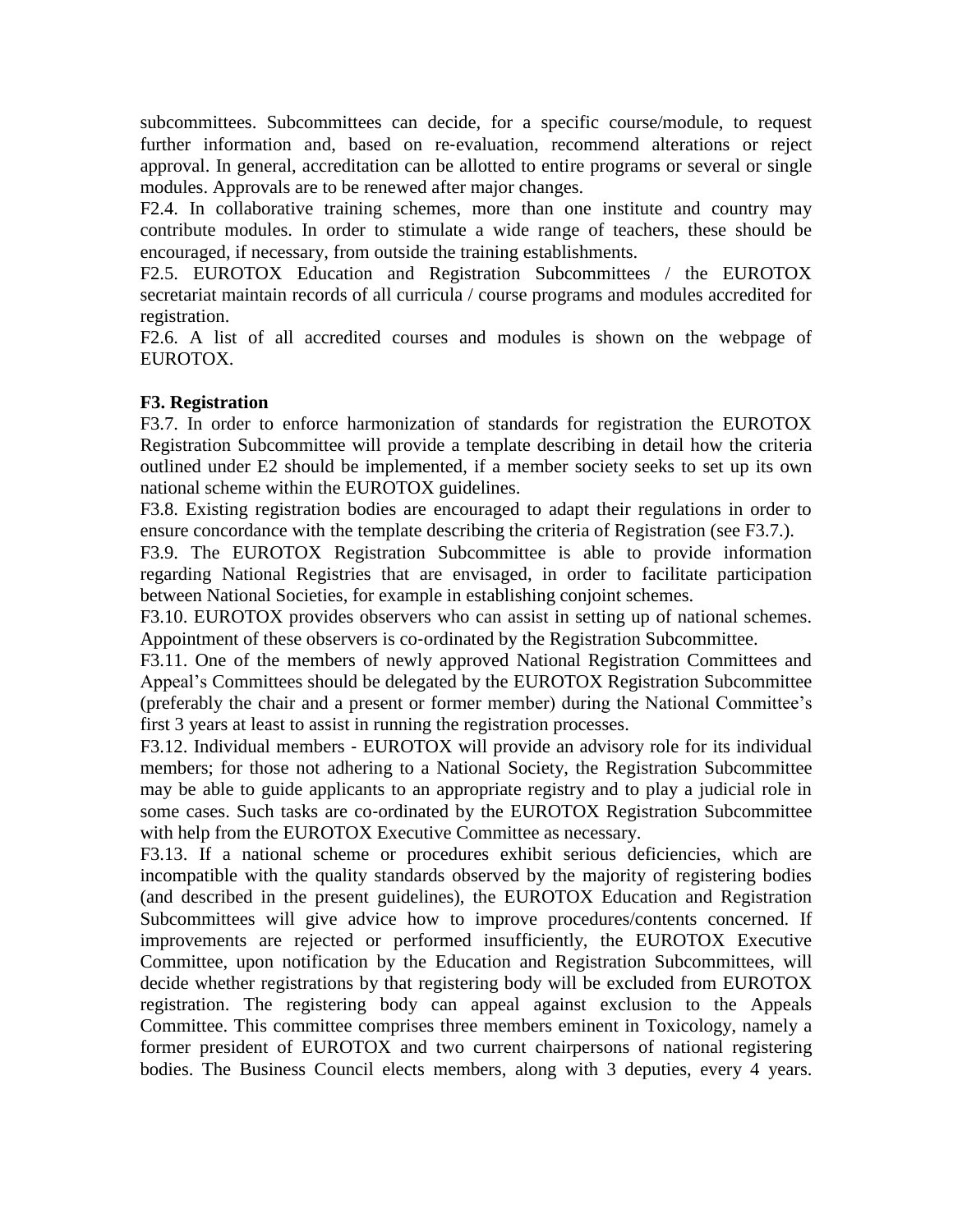subcommittees. Subcommittees can decide, for a specific course/module, to request further information and, based on re-evaluation, recommend alterations or reject approval. In general, accreditation can be allotted to entire programs or several or single modules. Approvals are to be renewed after major changes.

F2.4. In collaborative training schemes, more than one institute and country may contribute modules. In order to stimulate a wide range of teachers, these should be encouraged, if necessary, from outside the training establishments.

F2.5. EUROTOX Education and Registration Subcommittees / the EUROTOX secretariat maintain records of all curricula / course programs and modules accredited for registration.

F2.6. A list of all accredited courses and modules is shown on the webpage of EUROTOX.

### **F3. Registration**

F3.7. In order to enforce harmonization of standards for registration the EUROTOX Registration Subcommittee will provide a template describing in detail how the criteria outlined under E2 should be implemented, if a member society seeks to set up its own national scheme within the EUROTOX guidelines.

F3.8. Existing registration bodies are encouraged to adapt their regulations in order to ensure concordance with the template describing the criteria of Registration (see F3.7.).

F3.9. The EUROTOX Registration Subcommittee is able to provide information regarding National Registries that are envisaged, in order to facilitate participation between National Societies, for example in establishing conjoint schemes.

F3.10. EUROTOX provides observers who can assist in setting up of national schemes. Appointment of these observers is co-ordinated by the Registration Subcommittee.

F3.11. One of the members of newly approved National Registration Committees and Appeal's Committees should be delegated by the EUROTOX Registration Subcommittee (preferably the chair and a present or former member) during the National Committee's first 3 years at least to assist in running the registration processes.

F3.12. Individual members ‐ EUROTOX will provide an advisory role for its individual members; for those not adhering to a National Society, the Registration Subcommittee may be able to guide applicants to an appropriate registry and to play a judicial role in some cases. Such tasks are co-ordinated by the EUROTOX Registration Subcommittee with help from the EUROTOX Executive Committee as necessary.

F3.13. If a national scheme or procedures exhibit serious deficiencies, which are incompatible with the quality standards observed by the majority of registering bodies (and described in the present guidelines), the EUROTOX Education and Registration Subcommittees will give advice how to improve procedures/contents concerned. If improvements are rejected or performed insufficiently, the EUROTOX Executive Committee, upon notification by the Education and Registration Subcommittees, will decide whether registrations by that registering body will be excluded from EUROTOX registration. The registering body can appeal against exclusion to the Appeals Committee. This committee comprises three members eminent in Toxicology, namely a former president of EUROTOX and two current chairpersons of national registering bodies. The Business Council elects members, along with 3 deputies, every 4 years.